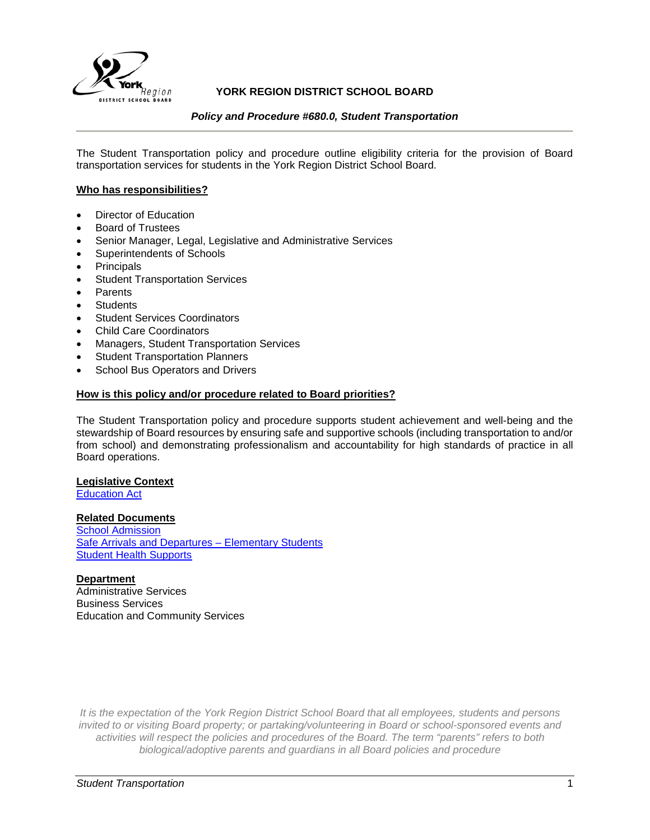

# **YORK REGION DISTRICT SCHOOL BOARD**

## *Policy and Procedure #680.0, Student Transportation*

The Student Transportation policy and procedure outline eligibility criteria for the provision of Board transportation services for students in the York Region District School Board.

## **Who has responsibilities?**

- Director of Education
- Board of Trustees
- Senior Manager, Legal, Legislative and Administrative Services
- Superintendents of Schools
- **Principals**
- **Student Transportation Services**
- **Parents**
- **Students**
- **Student Services Coordinators**
- Child Care Coordinators
- Managers, Student Transportation Services
- **Student Transportation Planners**
- School Bus Operators and Drivers

## **How is this policy and/or procedure related to Board priorities?**

The Student Transportation policy and procedure supports student achievement and well-being and the stewardship of Board resources by ensuring safe and supportive schools (including transportation to and/or from school) and demonstrating professionalism and accountability for high standards of practice in all Board operations.

## **Legislative Context**

**[Education Act](https://www.ontario.ca/laws/statute/90e02)** 

## **Related Documents**

**[School Admission](http://www.yrdsb.ca/boarddocs/Documents/PP-schooladmission-163.0.pdf)** [Safe Arrivals and Departures –](http://www.yrdsb.ca/boarddocs/Documents/PP-schooladmission-163.0.pdf) Elementary Students [Student Health Supports](https://bww.yrdsb.ca/boarddocs/Documents/PP-healthsupport-662.pdf#Policy)

## **Department**

Administrative Services Business Services Education and Community Services

*It is the expectation of the York Region District School Board that all employees, students and persons invited to or visiting Board property; or partaking/volunteering in Board or school-sponsored events and activities will respect the policies and procedures of the Board. The term "parents" refers to both biological/adoptive parents and guardians in all Board policies and procedure*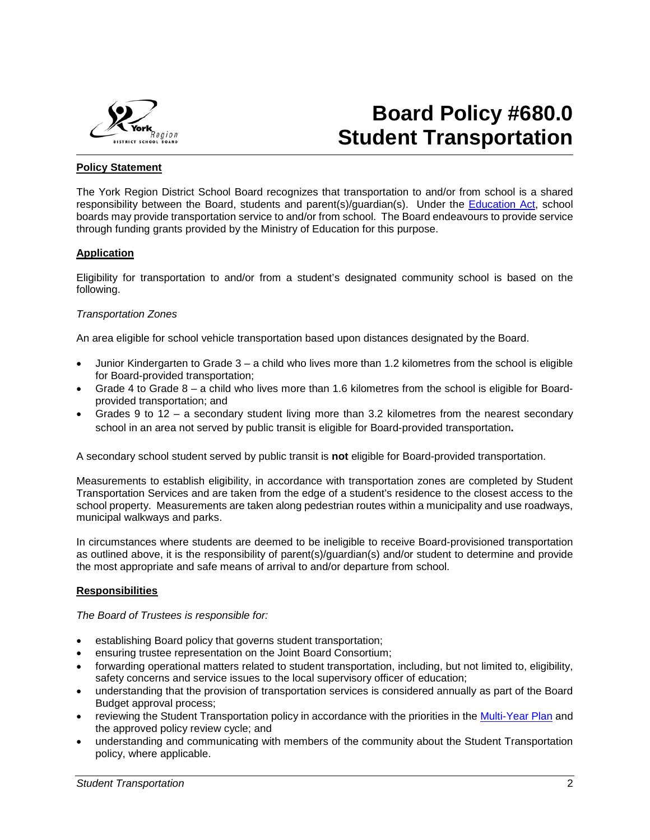

# **Board Policy #680.0 Student Transportation**

## **Policy Statement**

The York Region District School Board recognizes that transportation to and/or from school is a shared responsibility between the Board, students and parent(s)/guardian(s). Under the [Education Act,](https://www.ontario.ca/laws/statute/90e02) school boards may provide transportation service to and/or from school. The Board endeavours to provide service through funding grants provided by the Ministry of Education for this purpose.

## **Application**

Eligibility for transportation to and/or from a student's designated community school is based on the following.

## *Transportation Zones*

An area eligible for school vehicle transportation based upon distances designated by the Board.

- Junior Kindergarten to Grade 3 a child who lives more than 1.2 kilometres from the school is eligible for Board-provided transportation;
- Grade 4 to Grade 8 a child who lives more than 1.6 kilometres from the school is eligible for Boardprovided transportation; and
- Grades 9 to 12 a secondary student living more than 3.2 kilometres from the nearest secondary school in an area not served by public transit is eligible for Board-provided transportation**.**

A secondary school student served by public transit is **not** eligible for Board-provided transportation.

Measurements to establish eligibility, in accordance with transportation zones are completed by Student Transportation Services and are taken from the edge of a student's residence to the closest access to the school property. Measurements are taken along pedestrian routes within a municipality and use roadways, municipal walkways and parks.

In circumstances where students are deemed to be ineligible to receive Board-provisioned transportation as outlined above, it is the responsibility of parent(s)/guardian(s) and/or student to determine and provide the most appropriate and safe means of arrival to and/or departure from school.

# **Responsibilities**

*The Board of Trustees is responsible for:*

- establishing Board policy that governs student transportation;
- ensuring trustee representation on the Joint Board Consortium;
- forwarding operational matters related to student transportation, including, but not limited to, eligibility, safety concerns and service issues to the local supervisory officer of education;
- understanding that the provision of transportation services is considered annually as part of the Board Budget approval process;
- reviewing the Student Transportation policy in accordance with the priorities in the [Multi-Year Plan](http://www.yrdsb.ca/AboutUs/BoardPlans/Pages/default.aspx) and the approved policy review cycle; and
- understanding and communicating with members of the community about the Student Transportation policy, where applicable.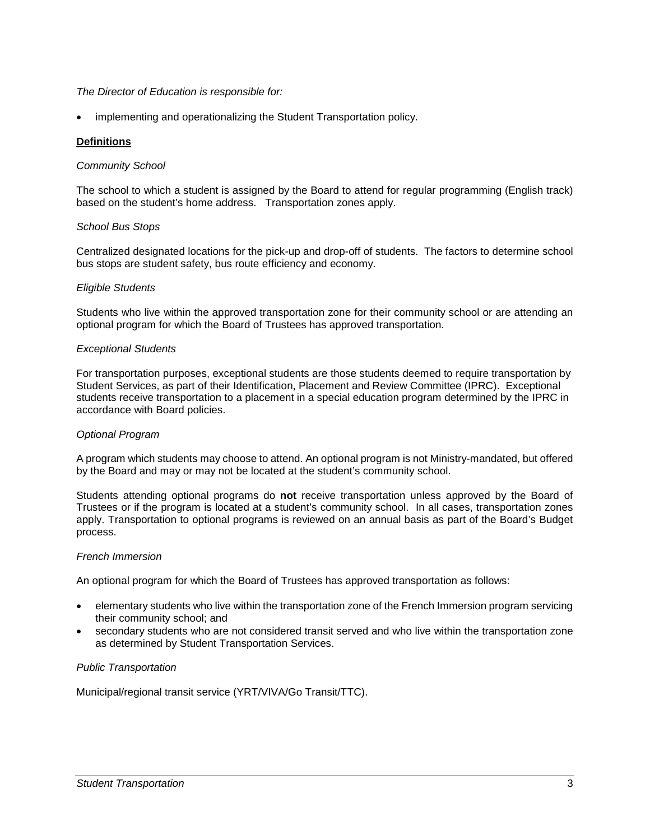## *The Director of Education is responsible for:*

implementing and operationalizing the Student Transportation policy.

## **Definitions**

## *Community School*

The school to which a student is assigned by the Board to attend for regular programming (English track) based on the student's home address. Transportation zones apply.

## *School Bus Stops*

Centralized designated locations for the pick-up and drop-off of students. The factors to determine school bus stops are student safety, bus route efficiency and economy.

## *Eligible Students*

Students who live within the approved transportation zone for their community school or are attending an optional program for which the Board of Trustees has approved transportation.

## *Exceptional Students*

For transportation purposes, exceptional students are those students deemed to require transportation by Student Services, as part of their Identification, Placement and Review Committee (IPRC). Exceptional students receive transportation to a placement in a special education program determined by the IPRC in accordance with Board policies.

## *Optional Program*

A program which students may choose to attend. An optional program is not Ministry-mandated, but offered by the Board and may or may not be located at the student's community school.

Students attending optional programs do **not** receive transportation unless approved by the Board of Trustees or if the program is located at a student's community school. In all cases, transportation zones apply. Transportation to optional programs is reviewed on an annual basis as part of the Board's Budget process.

## *French Immersion*

An optional program for which the Board of Trustees has approved transportation as follows:

- elementary students who live within the transportation zone of the French Immersion program servicing their community school; and
- secondary students who are not considered transit served and who live within the transportation zone as determined by Student Transportation Services.

# *Public Transportation*

Municipal/regional transit service (YRT/VIVA/Go Transit/TTC).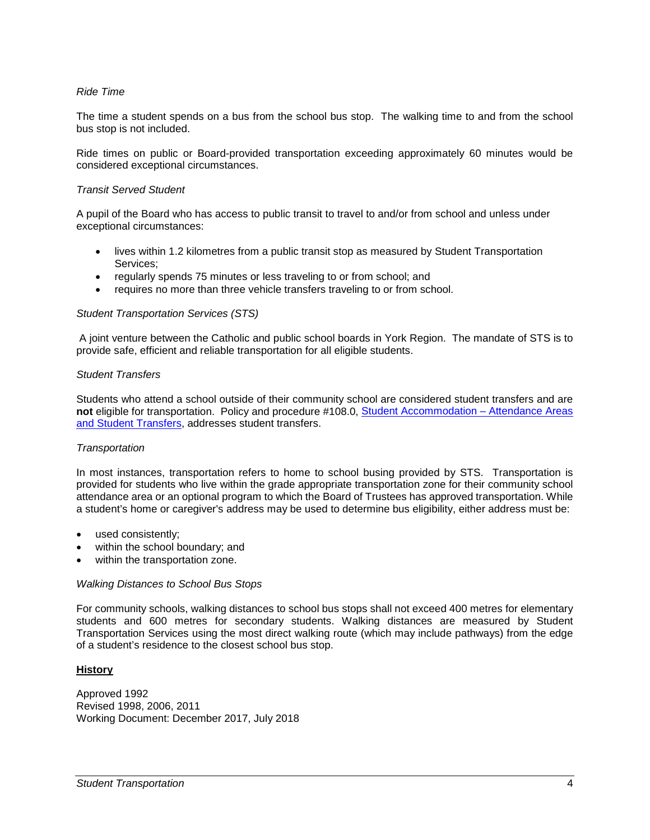## *Ride Time*

The time a student spends on a bus from the school bus stop. The walking time to and from the school bus stop is not included.

Ride times on public or Board-provided transportation exceeding approximately 60 minutes would be considered exceptional circumstances.

## *Transit Served Student*

A pupil of the Board who has access to public transit to travel to and/or from school and unless under exceptional circumstances:

- lives within 1.2 kilometres from a public transit stop as measured by Student Transportation Services;
- regularly spends 75 minutes or less traveling to or from school; and
- requires no more than three vehicle transfers traveling to or from school.

## *Student Transportation Services (STS)*

A joint venture between the Catholic and public school boards in York Region. The mandate of STS is to provide safe, efficient and reliable transportation for all eligible students.

### *Student Transfers*

Students who attend a school outside of their community school are considered student transfers and are **not** eligible for transportation. Policy and procedure #108.0, [Student Accommodation –](http://www.yrdsb.ca/boarddocs/Documents/PP-studentaccommodationattendanceareas-108.pdf) Attendance Areas [and Student Transfers,](http://www.yrdsb.ca/boarddocs/Documents/PP-studentaccommodationattendanceareas-108.pdf) addresses student transfers.

## *Transportation*

In most instances, transportation refers to home to school busing provided by STS. Transportation is provided for students who live within the grade appropriate transportation zone for their community school attendance area or an optional program to which the Board of Trustees has approved transportation. While a student's home or caregiver's address may be used to determine bus eligibility, either address must be:

- used consistently;
- within the school boundary; and
- within the transportation zone.

## *Walking Distances to School Bus Stops*

For community schools, walking distances to school bus stops shall not exceed 400 metres for elementary students and 600 metres for secondary students. Walking distances are measured by Student Transportation Services using the most direct walking route (which may include pathways) from the edge of a student's residence to the closest school bus stop.

## **History**

Approved 1992 Revised 1998, 2006, 2011 Working Document: December 2017, July 2018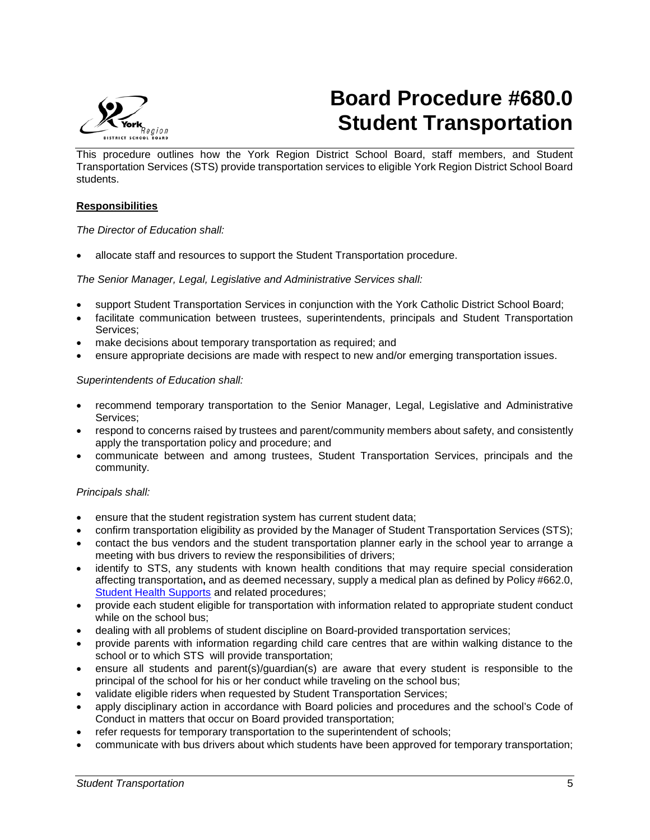

# **Board Procedure #680.0 Student Transportation**

This procedure outlines how the York Region District School Board, staff members, and Student Transportation Services (STS) provide transportation services to eligible York Region District School Board students.

# **Responsibilities**

## *The Director of Education shall:*

• allocate staff and resources to support the Student Transportation procedure.

*The Senior Manager, Legal, Legislative and Administrative Services shall:*

- support Student Transportation Services in conjunction with the York Catholic District School Board;
- facilitate communication between trustees, superintendents, principals and Student Transportation Services;
- make decisions about temporary transportation as required; and
- ensure appropriate decisions are made with respect to new and/or emerging transportation issues.

## *Superintendents of Education shall:*

- recommend temporary transportation to the Senior Manager, Legal, Legislative and Administrative Services;
- respond to concerns raised by trustees and parent/community members about safety, and consistently apply the transportation policy and procedure; and
- communicate between and among trustees, Student Transportation Services, principals and the community.

## *Principals shall:*

- ensure that the student registration system has current student data;
- confirm transportation eligibility as provided by the Manager of Student Transportation Services (STS);
- contact the bus vendors and the student transportation planner early in the school year to arrange a meeting with bus drivers to review the responsibilities of drivers;
- identify to STS, any students with known health conditions that may require special consideration affecting transportation**,** and as deemed necessary, supply a medical plan as defined by Policy #662.0, [Student Health Supports](https://bww.yrdsb.ca/boarddocs/Documents/PP-healthsupport-662.pdf#Policy) and related procedures;
- provide each student eligible for transportation with information related to appropriate student conduct while on the school bus;
- dealing with all problems of student discipline on Board-provided transportation services;
- provide parents with information regarding child care centres that are within walking distance to the school or to which STS will provide transportation;
- ensure all students and parent(s)/guardian(s) are aware that every student is responsible to the principal of the school for his or her conduct while traveling on the school bus;
- validate eligible riders when requested by Student Transportation Services;
- apply disciplinary action in accordance with Board policies and procedures and the school's Code of Conduct in matters that occur on Board provided transportation;
- refer requests for temporary transportation to the superintendent of schools;
- communicate with bus drivers about which students have been approved for temporary transportation;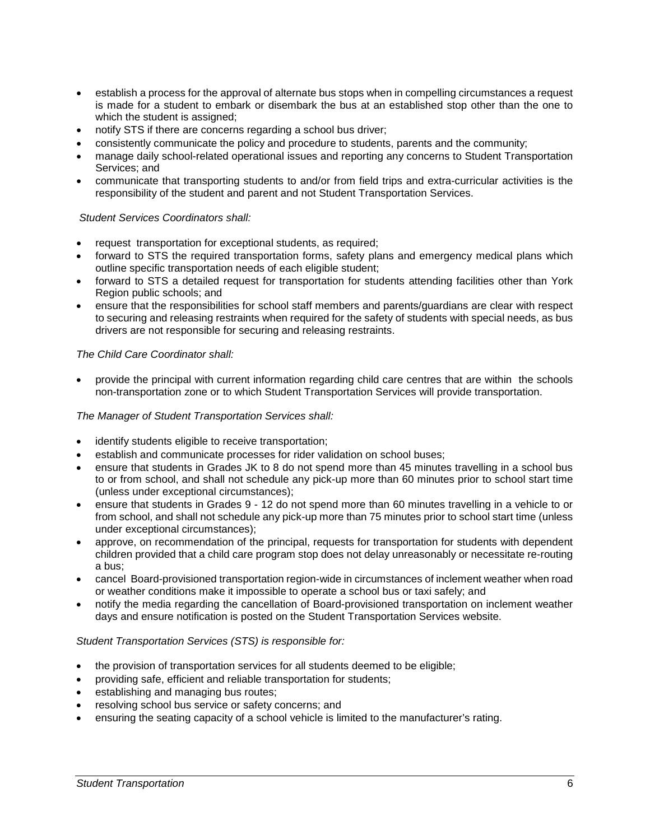- establish a process for the approval of alternate bus stops when in compelling circumstances a request is made for a student to embark or disembark the bus at an established stop other than the one to which the student is assigned;
- notify STS if there are concerns regarding a school bus driver;
- consistently communicate the policy and procedure to students, parents and the community;
- manage daily school-related operational issues and reporting any concerns to Student Transportation Services; and
- communicate that transporting students to and/or from field trips and extra-curricular activities is the responsibility of the student and parent and not Student Transportation Services.

# *Student Services Coordinators shall:*

- request transportation for exceptional students, as required;
- forward to STS the required transportation forms, safety plans and emergency medical plans which outline specific transportation needs of each eligible student;
- forward to STS a detailed request for transportation for students attending facilities other than York Region public schools; and
- ensure that the responsibilities for school staff members and parents/guardians are clear with respect to securing and releasing restraints when required for the safety of students with special needs, as bus drivers are not responsible for securing and releasing restraints.

## *The Child Care Coordinator shall:*

• provide the principal with current information regarding child care centres that are within the schools non-transportation zone or to which Student Transportation Services will provide transportation.

## *The Manager of Student Transportation Services shall:*

- identify students eligible to receive transportation;
- establish and communicate processes for rider validation on school buses;
- ensure that students in Grades JK to 8 do not spend more than 45 minutes travelling in a school bus to or from school, and shall not schedule any pick-up more than 60 minutes prior to school start time (unless under exceptional circumstances);
- ensure that students in Grades 9 12 do not spend more than 60 minutes travelling in a vehicle to or from school, and shall not schedule any pick-up more than 75 minutes prior to school start time (unless under exceptional circumstances);
- approve, on recommendation of the principal, requests for transportation for students with dependent children provided that a child care program stop does not delay unreasonably or necessitate re-routing a bus;
- cancel Board-provisioned transportation region-wide in circumstances of inclement weather when road or weather conditions make it impossible to operate a school bus or taxi safely; and
- notify the media regarding the cancellation of Board-provisioned transportation on inclement weather days and ensure notification is posted on the Student Transportation Services website.

## *Student Transportation Services (STS) is responsible for:*

- the provision of transportation services for all students deemed to be eligible;
- providing safe, efficient and reliable transportation for students;
- establishing and managing bus routes;
- resolving school bus service or safety concerns; and
- ensuring the seating capacity of a school vehicle is limited to the manufacturer's rating.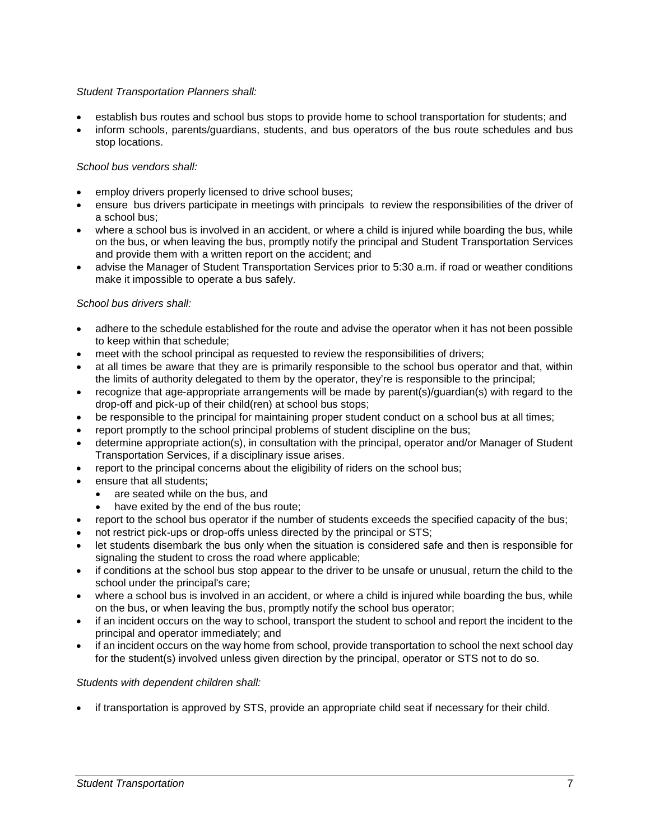# *Student Transportation Planners shall:*

- establish bus routes and school bus stops to provide home to school transportation for students; and
- inform schools, parents/guardians, students, and bus operators of the bus route schedules and bus stop locations.

# *School bus vendors shall:*

- employ drivers properly licensed to drive school buses;
- ensure bus drivers participate in meetings with principals to review the responsibilities of the driver of a school bus;
- where a school bus is involved in an accident, or where a child is injured while boarding the bus, while on the bus, or when leaving the bus, promptly notify the principal and Student Transportation Services and provide them with a written report on the accident; and
- advise the Manager of Student Transportation Services prior to 5:30 a.m. if road or weather conditions make it impossible to operate a bus safely.

# *School bus drivers shall:*

- adhere to the schedule established for the route and advise the operator when it has not been possible to keep within that schedule;
- meet with the school principal as requested to review the responsibilities of drivers;
- at all times be aware that they are is primarily responsible to the school bus operator and that, within the limits of authority delegated to them by the operator, they're is responsible to the principal;
- recognize that age-appropriate arrangements will be made by parent(s)/guardian(s) with regard to the drop-off and pick-up of their child(ren) at school bus stops;
- be responsible to the principal for maintaining proper student conduct on a school bus at all times;
- report promptly to the school principal problems of student discipline on the bus;
- determine appropriate action(s), in consultation with the principal, operator and/or Manager of Student Transportation Services, if a disciplinary issue arises.
- report to the principal concerns about the eligibility of riders on the school bus;
- ensure that all students:
	- are seated while on the bus, and
	- have exited by the end of the bus route;
- report to the school bus operator if the number of students exceeds the specified capacity of the bus;
- not restrict pick-ups or drop-offs unless directed by the principal or STS;
- let students disembark the bus only when the situation is considered safe and then is responsible for signaling the student to cross the road where applicable;
- if conditions at the school bus stop appear to the driver to be unsafe or unusual, return the child to the school under the principal's care;
- where a school bus is involved in an accident, or where a child is injured while boarding the bus, while on the bus, or when leaving the bus, promptly notify the school bus operator;
- if an incident occurs on the way to school, transport the student to school and report the incident to the principal and operator immediately; and
- if an incident occurs on the way home from school, provide transportation to school the next school day for the student(s) involved unless given direction by the principal, operator or STS not to do so.

## *Students with dependent children shall:*

• if transportation is approved by STS, provide an appropriate child seat if necessary for their child.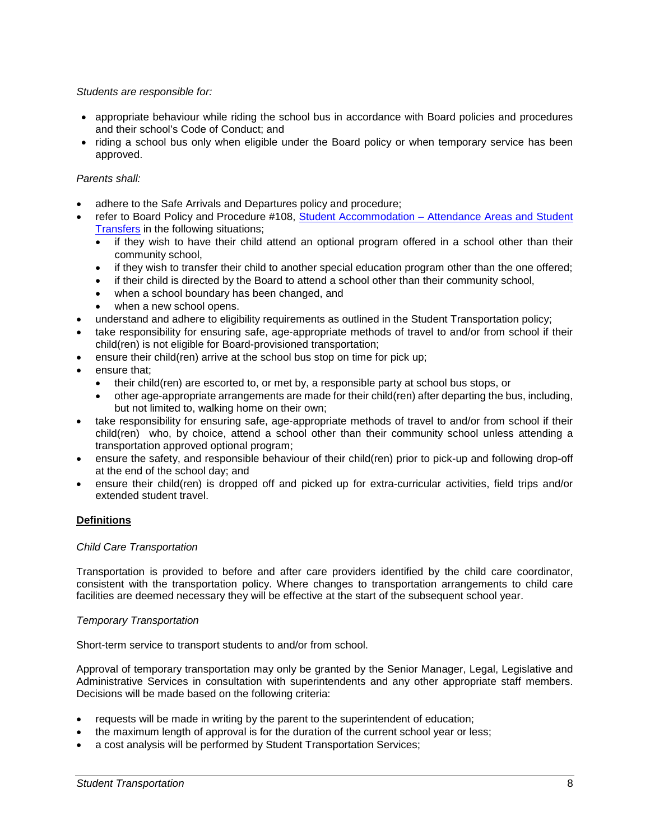## *Students are responsible for:*

- appropriate behaviour while riding the school bus in accordance with Board policies and procedures and their school's Code of Conduct; and
- riding a school bus only when eligible under the Board policy or when temporary service has been approved.

# *Parents shall:*

- adhere to the Safe Arrivals and Departures policy and procedure;
- refer to Board Policy and Procedure #108, Student Accommodation [Attendance Areas and Student](http://www.yrdsb.ca/boarddocs/Documents/PP-studentaccommodationattendanceareas-108.pdf)  [Transfers](http://www.yrdsb.ca/boarddocs/Documents/PP-studentaccommodationattendanceareas-108.pdf) in the following situations;
	- if they wish to have their child attend an optional program offered in a school other than their community school,
	- if they wish to transfer their child to another special education program other than the one offered;
	- if their child is directed by the Board to attend a school other than their community school,
	- when a school boundary has been changed, and
	- when a new school opens.
- understand and adhere to eligibility requirements as outlined in the Student Transportation policy;
- take responsibility for ensuring safe, age-appropriate methods of travel to and/or from school if their child(ren) is not eligible for Board-provisioned transportation;
- ensure their child(ren) arrive at the school bus stop on time for pick up;
- ensure that:
	- their child(ren) are escorted to, or met by, a responsible party at school bus stops, or
	- other age-appropriate arrangements are made for their child(ren) after departing the bus, including, but not limited to, walking home on their own;
- take responsibility for ensuring safe, age-appropriate methods of travel to and/or from school if their child(ren) who, by choice, attend a school other than their community school unless attending a transportation approved optional program;
- ensure the safety, and responsible behaviour of their child(ren) prior to pick-up and following drop-off at the end of the school day; and
- ensure their child(ren) is dropped off and picked up for extra-curricular activities, field trips and/or extended student travel.

# **Definitions**

# *Child Care Transportation*

Transportation is provided to before and after care providers identified by the child care coordinator, consistent with the transportation policy. Where changes to transportation arrangements to child care facilities are deemed necessary they will be effective at the start of the subsequent school year.

# *Temporary Transportation*

Short-term service to transport students to and/or from school.

Approval of temporary transportation may only be granted by the Senior Manager, Legal, Legislative and Administrative Services in consultation with superintendents and any other appropriate staff members. Decisions will be made based on the following criteria:

- requests will be made in writing by the parent to the superintendent of education;
- the maximum length of approval is for the duration of the current school year or less;
- a cost analysis will be performed by Student Transportation Services;